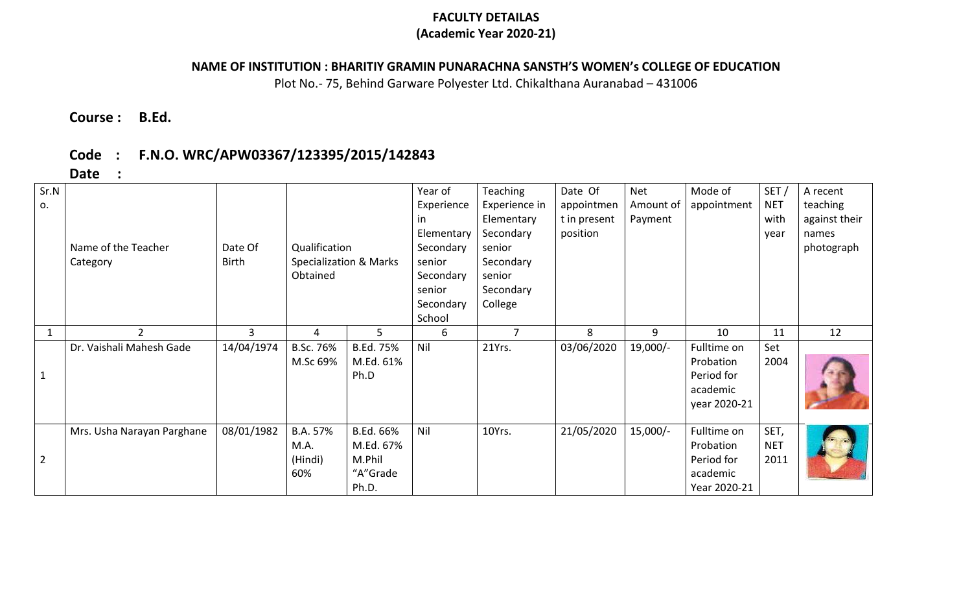### **FACULTY DETAILAS (Academic Year 2020-21)**

## **NAME OF INSTITUTION : BHARITIY GRAMIN PUNARACHNA SANSTH'S WOMEN's COLLEGE OF EDUCATION**

Plot No.- 75, Behind Garware Polyester Ltd. Chikalthana Auranabad – 431006

# **Course : B.Ed.**

# **Code : F.N.O. WRC/APW03367/123395/2015/142843**

**Date :**

| Sr.N<br>0.     | Name of the Teacher<br>Category | Date Of<br>Birth | Qualification<br>Specialization & Marks<br>Obtained |                                                       | Year of<br>Experience<br>in.<br>Elementary<br>Secondary<br>senior<br>Secondary<br>senior<br>Secondary<br>School | <b>Teaching</b><br>Experience in<br>Elementary<br>Secondary<br>senior<br>Secondary<br>senior<br>Secondary<br>College | Date Of<br>appointmen<br>t in present<br>position | <b>Net</b><br>Amount of<br>Payment | Mode of<br>appointment                                             | SET/<br><b>NET</b><br>with<br>year | A recent<br>teaching<br>against their<br>names<br>photograph |
|----------------|---------------------------------|------------------|-----------------------------------------------------|-------------------------------------------------------|-----------------------------------------------------------------------------------------------------------------|----------------------------------------------------------------------------------------------------------------------|---------------------------------------------------|------------------------------------|--------------------------------------------------------------------|------------------------------------|--------------------------------------------------------------|
| 1              | $\overline{2}$                  | 3                | 4                                                   | 5                                                     | 6                                                                                                               | $\overline{7}$                                                                                                       | 8                                                 | 9                                  | 10                                                                 | 11                                 | 12                                                           |
|                | Dr. Vaishali Mahesh Gade        | 14/04/1974       | B.Sc. 76%<br>M.Sc 69%                               | B.Ed. 75%<br>M.Ed. 61%<br>Ph.D                        | Nil                                                                                                             | 21Yrs.                                                                                                               | 03/06/2020                                        | $19,000/-$                         | Fulltime on<br>Probation<br>Period for<br>academic<br>year 2020-21 | Set<br>2004                        |                                                              |
| $\overline{2}$ | Mrs. Usha Narayan Parghane      | 08/01/1982       | B.A. 57%<br>M.A.<br>(Hindi)<br>60%                  | B.Ed. 66%<br>M.Ed. 67%<br>M.Phil<br>"A"Grade<br>Ph.D. | Nil                                                                                                             | 10Yrs.                                                                                                               | 21/05/2020                                        | $15,000/-$                         | Fulltime on<br>Probation<br>Period for<br>academic<br>Year 2020-21 | SET,<br><b>NET</b><br>2011         |                                                              |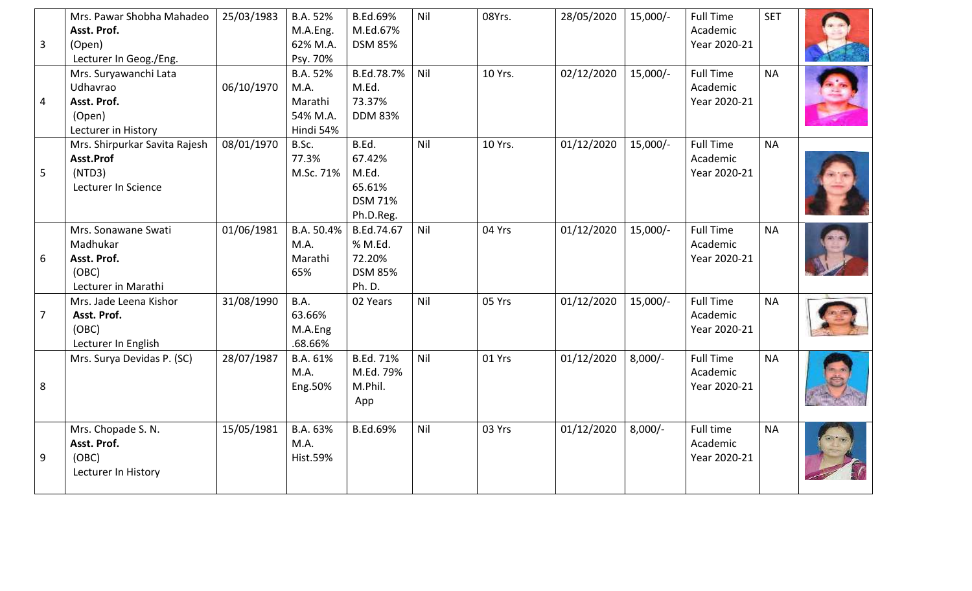| 3 | Mrs. Pawar Shobha Mahadeo<br>Asst. Prof.<br>(Open)<br>Lecturer In Geog./Eng.      | 25/03/1983 | B.A. 52%<br>M.A.Eng.<br>62% M.A.<br>Psy. 70%         | <b>B.Ed.69%</b><br>M.Ed.67%<br><b>DSM 85%</b>                     | Nil | 08Yrs.  | 28/05/2020 | $15,000/-$ | <b>Full Time</b><br>Academic<br>Year 2020-21 | <b>SET</b> |  |
|---|-----------------------------------------------------------------------------------|------------|------------------------------------------------------|-------------------------------------------------------------------|-----|---------|------------|------------|----------------------------------------------|------------|--|
| 4 | Mrs. Suryawanchi Lata<br>Udhavrao<br>Asst. Prof.<br>(Open)<br>Lecturer in History | 06/10/1970 | B.A. 52%<br>M.A.<br>Marathi<br>54% M.A.<br>Hindi 54% | B.Ed.78.7%<br>M.Ed.<br>73.37%<br><b>DDM 83%</b>                   | Nil | 10 Yrs. | 02/12/2020 | $15,000/-$ | <b>Full Time</b><br>Academic<br>Year 2020-21 | <b>NA</b>  |  |
| 5 | Mrs. Shirpurkar Savita Rajesh<br>Asst.Prof<br>(NTD3)<br>Lecturer In Science       | 08/01/1970 | B.Sc.<br>77.3%<br>M.Sc. 71%                          | B.Ed.<br>67.42%<br>M.Ed.<br>65.61%<br><b>DSM 71%</b><br>Ph.D.Reg. | Nil | 10 Yrs. | 01/12/2020 | $15,000/-$ | <b>Full Time</b><br>Academic<br>Year 2020-21 | <b>NA</b>  |  |
| 6 | Mrs. Sonawane Swati<br>Madhukar<br>Asst. Prof.<br>(OBC)<br>Lecturer in Marathi    | 01/06/1981 | B.A. 50.4%<br>M.A.<br>Marathi<br>65%                 | B.Ed.74.67<br>% M.Ed.<br>72.20%<br><b>DSM 85%</b><br>Ph. D.       | Nil | 04 Yrs  | 01/12/2020 | $15,000/-$ | <b>Full Time</b><br>Academic<br>Year 2020-21 | <b>NA</b>  |  |
| 7 | Mrs. Jade Leena Kishor<br>Asst. Prof.<br>(OBC)<br>Lecturer In English             | 31/08/1990 | <b>B.A.</b><br>63.66%<br>M.A.Eng<br>.68.66%          | 02 Years                                                          | Nil | 05 Yrs  | 01/12/2020 | $15,000/-$ | <b>Full Time</b><br>Academic<br>Year 2020-21 | <b>NA</b>  |  |
| 8 | Mrs. Surya Devidas P. (SC)                                                        | 28/07/1987 | B.A. 61%<br>M.A.<br>Eng.50%                          | B.Ed. 71%<br>M.Ed. 79%<br>M.Phil.<br>App                          | Nil | 01 Yrs  | 01/12/2020 | $8,000/-$  | <b>Full Time</b><br>Academic<br>Year 2020-21 | <b>NA</b>  |  |
| 9 | Mrs. Chopade S. N.<br>Asst. Prof.<br>(OBC)<br>Lecturer In History                 | 15/05/1981 | B.A. 63%<br>M.A.<br><b>Hist.59%</b>                  | <b>B.Ed.69%</b>                                                   | Nil | 03 Yrs  | 01/12/2020 | $8,000/-$  | Full time<br>Academic<br>Year 2020-21        | <b>NA</b>  |  |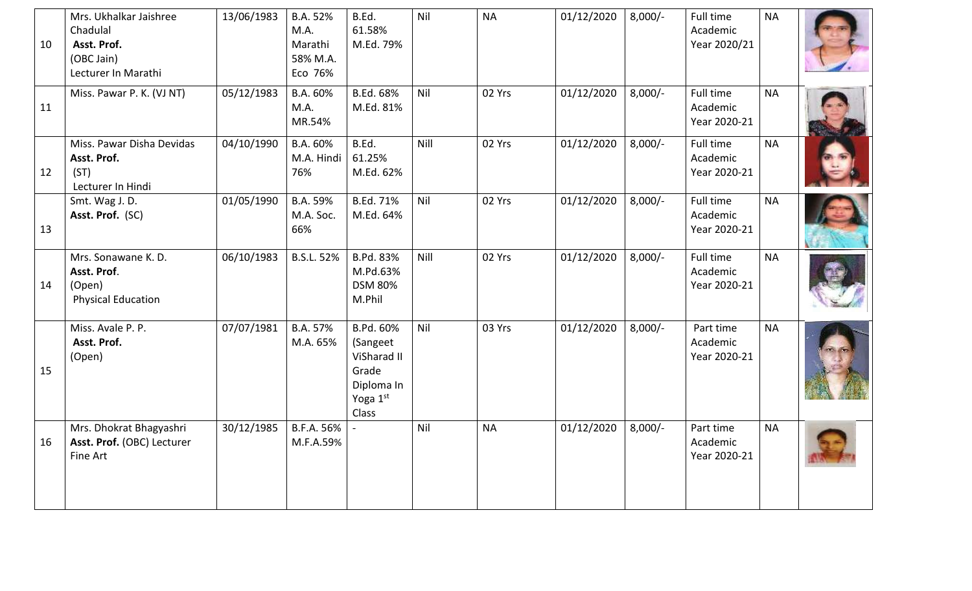| 10 | Mrs. Ukhalkar Jaishree<br>Chadulal<br>Asst. Prof.<br>(OBC Jain)<br>Lecturer In Marathi | 13/06/1983 | B.A. 52%<br>M.A.<br>Marathi<br>58% M.A.<br>Eco 76% | B.Ed.<br>61.58%<br>M.Ed. 79%                                                     | Nil  | <b>NA</b> | 01/12/2020 | $8,000/-$ | Full time<br>Academic<br>Year 2020/21 | <b>NA</b> |  |
|----|----------------------------------------------------------------------------------------|------------|----------------------------------------------------|----------------------------------------------------------------------------------|------|-----------|------------|-----------|---------------------------------------|-----------|--|
| 11 | Miss. Pawar P. K. (VJ NT)                                                              | 05/12/1983 | B.A. 60%<br>M.A.<br>MR.54%                         | B.Ed. 68%<br>M.Ed. 81%                                                           | Nil  | 02 Yrs    | 01/12/2020 | $8,000/-$ | Full time<br>Academic<br>Year 2020-21 | <b>NA</b> |  |
| 12 | Miss. Pawar Disha Devidas<br>Asst. Prof.<br>(ST)<br>Lecturer In Hindi                  | 04/10/1990 | B.A. 60%<br>M.A. Hindi<br>76%                      | B.Ed.<br>61.25%<br>M.Ed. 62%                                                     | Nill | 02 Yrs    | 01/12/2020 | $8,000/-$ | Full time<br>Academic<br>Year 2020-21 | <b>NA</b> |  |
| 13 | Smt. Wag J. D.<br>Asst. Prof. (SC)                                                     | 01/05/1990 | B.A. 59%<br>M.A. Soc.<br>66%                       | <b>B.Ed. 71%</b><br>M.Ed. 64%                                                    | Nil  | 02 Yrs    | 01/12/2020 | $8,000/-$ | Full time<br>Academic<br>Year 2020-21 | <b>NA</b> |  |
| 14 | Mrs. Sonawane K. D.<br>Asst. Prof.<br>(Open)<br><b>Physical Education</b>              | 06/10/1983 | <b>B.S.L. 52%</b>                                  | B.Pd. 83%<br>M.Pd.63%<br><b>DSM 80%</b><br>M.Phil                                | Nill | 02 Yrs    | 01/12/2020 | $8,000/-$ | Full time<br>Academic<br>Year 2020-21 | <b>NA</b> |  |
| 15 | Miss. Avale P. P.<br>Asst. Prof.<br>(Open)                                             | 07/07/1981 | B.A. 57%<br>M.A. 65%                               | B.Pd. 60%<br>(Sangeet<br>ViSharad II<br>Grade<br>Diploma In<br>Yoga 1st<br>Class | Nil  | 03 Yrs    | 01/12/2020 | $8,000/-$ | Part time<br>Academic<br>Year 2020-21 | <b>NA</b> |  |
| 16 | Mrs. Dhokrat Bhagyashri<br>Asst. Prof. (OBC) Lecturer<br>Fine Art                      | 30/12/1985 | B.F.A. 56%<br>M.F.A.59%                            |                                                                                  | Nil  | <b>NA</b> | 01/12/2020 | $8,000/-$ | Part time<br>Academic<br>Year 2020-21 | <b>NA</b> |  |